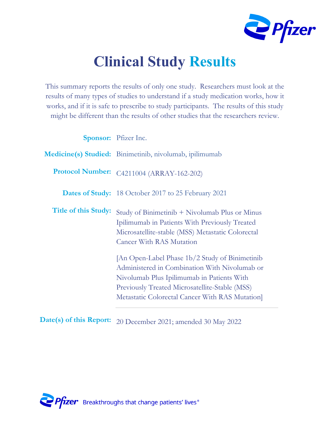

# **Clinical Study Results**

This summary reports the results of only one study. Researchers must look at the results of many types of studies to understand if a study medication works, how it works, and if it is safe to prescribe to study participants. The results of this study might be different than the results of other studies that the researchers review.

|                             | <b>Sponsor:</b> Pfizer Inc.                                                                                                                                                                                                                               |
|-----------------------------|-----------------------------------------------------------------------------------------------------------------------------------------------------------------------------------------------------------------------------------------------------------|
|                             | Medicine(s) Studied: Binimetinib, nivolumab, ipilimumab                                                                                                                                                                                                   |
| <b>Protocol Number:</b>     | C4211004 (ARRAY-162-202)                                                                                                                                                                                                                                  |
|                             | <b>Dates of Study:</b> 18 October 2017 to 25 February 2021                                                                                                                                                                                                |
| <b>Title of this Study:</b> | Study of Binimetinib + Nivolumab Plus or Minus<br>Ipilimumab in Patients With Previously Treated<br>Microsatellite-stable (MSS) Metastatic Colorectal<br><b>Cancer With RAS Mutation</b>                                                                  |
|                             | [An Open-Label Phase 1b/2 Study of Binimetinib]<br>Administered in Combination With Nivolumab or<br>Nivolumab Plus Ipilimumab in Patients With<br><b>Previously Treated Microsatellite-Stable (MSS)</b><br>Metastatic Colorectal Cancer With RAS Mutation |

**Date(s) of this Report:** 20 December 2021; amended 30 May 2022

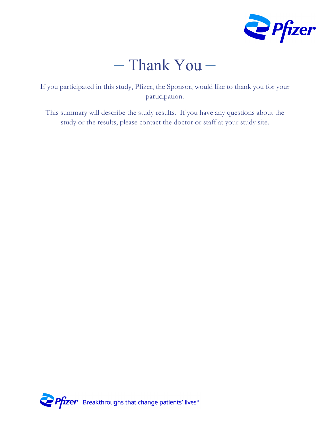

# – Thank You –

If you participated in this study, Pfizer, the Sponsor, would like to thank you for your participation.

This summary will describe the study results. If you have any questions about the study or the results, please contact the doctor or staff at your study site.

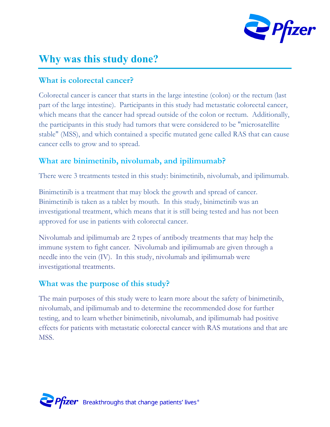

### **Why was this study done?**

#### **What is colorectal cancer?**

Colorectal cancer is cancer that starts in the large intestine (colon) or the rectum (last part of the large intestine). Participants in this study had metastatic colorectal cancer, which means that the cancer had spread outside of the colon or rectum. Additionally, the participants in this study had tumors that were considered to be "microsatellite stable" (MSS), and which contained a specific mutated gene called RAS that can cause cancer cells to grow and to spread.

#### **What are binimetinib, nivolumab, and ipilimumab?**

There were 3 treatments tested in this study: binimetinib, nivolumab, and ipilimumab.

Binimetinib is a treatment that may block the growth and spread of cancer. Binimetinib is taken as a tablet by mouth. In this study, binimetinib was an investigational treatment, which means that it is still being tested and has not been approved for use in patients with colorectal cancer.

Nivolumab and ipilimumab are 2 types of antibody treatments that may help the immune system to fight cancer. Nivolumab and ipilimumab are given through a needle into the vein (IV). In this study, nivolumab and ipilimumab were investigational treatments.

#### **What was the purpose of this study?**

The main purposes of this study were to learn more about the safety of binimetinib, nivolumab, and ipilimumab and to determine the recommended dose for further testing, and to learn whether binimetinib, nivolumab, and ipilimumab had positive effects for patients with metastatic colorectal cancer with RAS mutations and that are MSS.

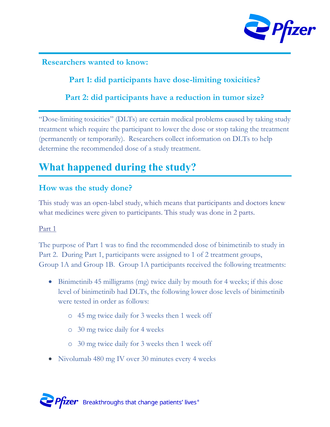

**Researchers wanted to know:**

**Part 1: did participants have dose-limiting toxicities?**

**Part 2: did participants have a reduction in tumor size?**

"Dose-limiting toxicities" (DLTs) are certain medical problems caused by taking study treatment which require the participant to lower the dose or stop taking the treatment (permanently or temporarily). Researchers collect information on DLTs to help determine the recommended dose of a study treatment.

# **What happened during the study?**

#### **How was the study done?**

This study was an open-label study, which means that participants and doctors knew what medicines were given to participants. This study was done in 2 parts.

#### Part 1

The purpose of Part 1 was to find the recommended dose of binimetinib to study in Part 2. During Part 1, participants were assigned to 1 of 2 treatment groups, Group 1A and Group 1B. Group 1A participants received the following treatments:

- Binimetinib 45 milligrams (mg) twice daily by mouth for 4 weeks; if this dose level of binimetinib had DLTs, the following lower dose levels of binimetinib were tested in order as follows:
	- o 45 mg twice daily for 3 weeks then 1 week off
	- o 30 mg twice daily for 4 weeks
	- o 30 mg twice daily for 3 weeks then 1 week off
- Nivolumab 480 mg IV over 30 minutes every 4 weeks

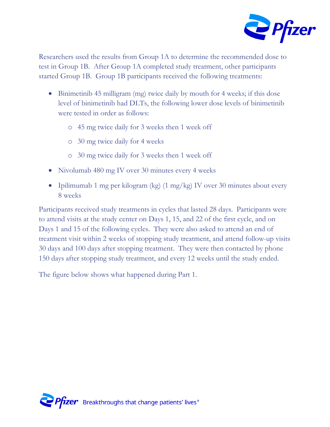

Researchers used the results from Group 1A to determine the recommended dose to test in Group 1B. After Group 1A completed study treatment, other participants started Group 1B. Group 1B participants received the following treatments:

- Binimetinib 45 milligram (mg) twice daily by mouth for 4 weeks; if this dose level of binimetinib had DLTs, the following lower dose levels of binimetinib were tested in order as follows:
	- o 45 mg twice daily for 3 weeks then 1 week off
	- o 30 mg twice daily for 4 weeks
	- o 30 mg twice daily for 3 weeks then 1 week off
- Nivolumab 480 mg IV over 30 minutes every 4 weeks
- Ipilimumab 1 mg per kilogram (kg) (1 mg/kg) IV over 30 minutes about every 8 weeks

Participants received study treatments in cycles that lasted 28 days. Participants were to attend visits at the study center on Days 1, 15, and 22 of the first cycle, and on Days 1 and 15 of the following cycles. They were also asked to attend an end of treatment visit within 2 weeks of stopping study treatment, and attend follow-up visits 30 days and 100 days after stopping treatment. They were then contacted by phone 150 days after stopping study treatment, and every 12 weeks until the study ended.

The figure below shows what happened during Part 1.

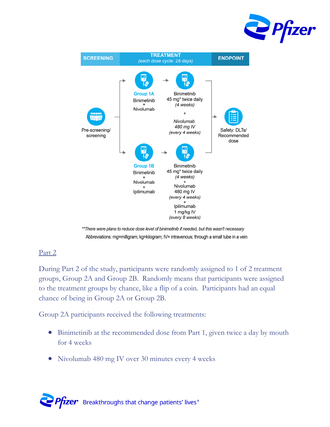



\*\* There were plans to reduce dose level of binimetinib if needed, but this wasn't necessary Abbreviations: mg=milligram; kg=kilogram; IV= intravenous; through a small tube in a vein

#### Part 2

During Part 2 of the study, participants were randomly assigned to 1 of 2 treatment groups, Group 2A and Group 2B. Randomly means that participants were assigned to the treatment groups by chance, like a flip of a coin. Participants had an equal chance of being in Group 2A or Group 2B.

Group 2A participants received the following treatments:

- Binimetinib at the recommended dose from Part 1, given twice a day by mouth for 4 weeks
- Nivolumab 480 mg IV over 30 minutes every 4 weeks

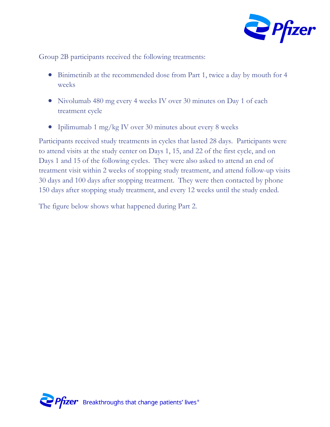

Group 2B participants received the following treatments:

- Binimetinib at the recommended dose from Part 1, twice a day by mouth for 4 weeks
- Nivolumab 480 mg every 4 weeks IV over 30 minutes on Day 1 of each treatment cycle
- Ipilimumab 1 mg/kg IV over 30 minutes about every 8 weeks

Participants received study treatments in cycles that lasted 28 days. Participants were to attend visits at the study center on Days 1, 15, and 22 of the first cycle, and on Days 1 and 15 of the following cycles. They were also asked to attend an end of treatment visit within 2 weeks of stopping study treatment, and attend follow-up visits 30 days and 100 days after stopping treatment. They were then contacted by phone 150 days after stopping study treatment, and every 12 weeks until the study ended.

The figure below shows what happened during Part 2.

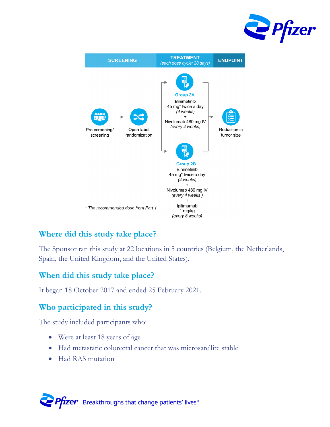



#### **Where did this study take place?**

The Sponsor ran this study at 22 locations in 5 countries (Belgium, the Netherlands, Spain, the United Kingdom, and the United States).

#### **When did this study take place?**

It began 18 October 2017 and ended 25 February 2021.

#### **Who participated in this study?**

The study included participants who:

- Were at least 18 years of age
- Had metastatic colorectal cancer that was microsatellite stable
- Had RAS mutation

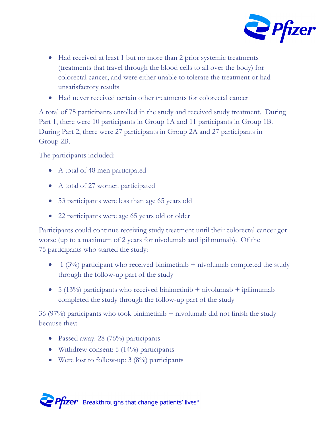

- Had received at least 1 but no more than 2 prior systemic treatments (treatments that travel through the blood cells to all over the body) for colorectal cancer, and were either unable to tolerate the treatment or had unsatisfactory results
- Had never received certain other treatments for colorectal cancer

A total of 75 participants enrolled in the study and received study treatment. During Part 1, there were 10 participants in Group 1A and 11 participants in Group 1B. During Part 2, there were 27 participants in Group 2A and 27 participants in Group 2B.

The participants included:

- A total of 48 men participated
- A total of 27 women participated
- 53 participants were less than age 65 years old
- 22 participants were age 65 years old or older

Participants could continue receiving study treatment until their colorectal cancer got worse (up to a maximum of 2 years for nivolumab and ipilimumab). Of the 75 participants who started the study:

- 1 (3%) participant who received binimetinib  $+$  nivolumab completed the study through the follow-up part of the study
- $\bullet$  5 (13%) participants who received binimetinib + nivolumab + ipilimumab completed the study through the follow-up part of the study

36 (97%) participants who took binimetinib + nivolumab did not finish the study because they:

- Passed away: 28 (76%) participants
- Withdrew consent: 5 (14%) participants
- Were lost to follow-up: 3 (8%) participants

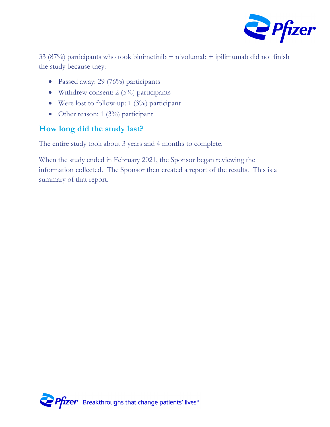

33 (87%) participants who took binimetinib  $+$  nivolumab  $+$  ipilimumab did not finish the study because they:

- Passed away: 29 (76%) participants
- Withdrew consent: 2 (5%) participants
- Were lost to follow-up: 1 (3%) participant
- Other reason: 1 (3%) participant

#### **How long did the study last?**

The entire study took about 3 years and 4 months to complete.

When the study ended in February 2021, the Sponsor began reviewing the information collected. The Sponsor then created a report of the results. This is a summary of that report.

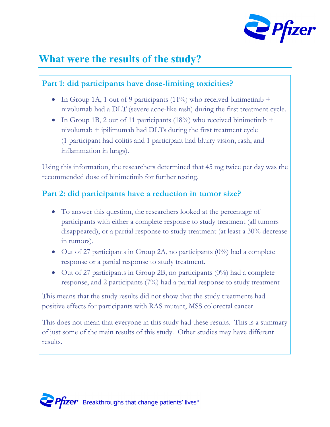

### **What were the results of the study?**

#### **Part 1: did participants have dose-limiting toxicities?**

- In Group 1A, 1 out of 9 participants (11%) who received binimetinib + nivolumab had a DLT (severe acne-like rash) during the first treatment cycle.
- In Group 1B, 2 out of 11 participants (18%) who received binimetinib  $+$ nivolumab + ipilimumab had DLTs during the first treatment cycle (1 participant had colitis and 1 participant had blurry vision, rash, and inflammation in lungs).

Using this information, the researchers determined that 45 mg twice per day was the recommended dose of binimetinib for further testing.

#### **Part 2: did participants have a reduction in tumor size?**

- To answer this question, the researchers looked at the percentage of participants with either a complete response to study treatment (all tumors disappeared), or a partial response to study treatment (at least a 30% decrease in tumors).
- $\bullet$  Out of 27 participants in Group 2A, no participants (0%) had a complete response or a partial response to study treatment.
- $\bullet$  Out of 27 participants in Group 2B, no participants (0%) had a complete response, and 2 participants (7%) had a partial response to study treatment

This means that the study results did not show that the study treatments had positive effects for participants with RAS mutant, MSS colorectal cancer.

This does not mean that everyone in this study had these results. This is a summary of just some of the main results of this study. Other studies may have different results.

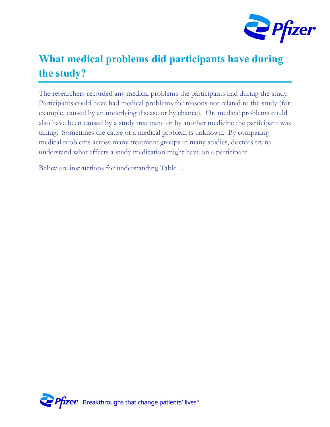

# **What medical problems did participants have during the study?**

The researchers recorded any medical problems the participants had during the study. Participants could have had medical problems for reasons not related to the study (for example, caused by an underlying disease or by chance). Or, medical problems could also have been caused by a study treatment or by another medicine the participant was taking. Sometimes the cause of a medical problem is unknown. By comparing medical problems across many treatment groups in many studies, doctors try to understand what effects a study medication might have on a participant.

Below are instructions for understanding Table 1.

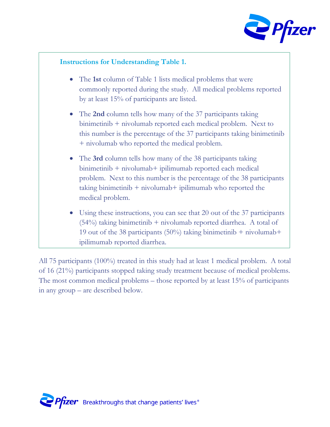

#### **Instructions for Understanding Table 1.**

- The **1st** column of Table 1 lists medical problems that were commonly reported during the study. All medical problems reported by at least 15% of participants are listed.
- The **2nd** column tells how many of the 37 participants taking binimetinib + nivolumab reported each medical problem. Next to this number is the percentage of the 37 participants taking binimetinib + nivolumab who reported the medical problem.
- The **3rd** column tells how many of the 38 participants taking binimetinib + nivolumab+ ipilimumab reported each medical problem. Next to this number is the percentage of the 38 participants taking binimetinib + nivolumab+ ipilimumab who reported the medical problem.
- Using these instructions, you can see that 20 out of the 37 participants  $(54%)$  taking binimetinib + nivolumab reported diarrhea. A total of 19 out of the 38 participants (50%) taking binimetinib  $+$  nivolumab $+$ ipilimumab reported diarrhea.

All 75 participants (100%) treated in this study had at least 1 medical problem. A total of 16 (21%) participants stopped taking study treatment because of medical problems. The most common medical problems – those reported by at least 15% of participants in any group – are described below.

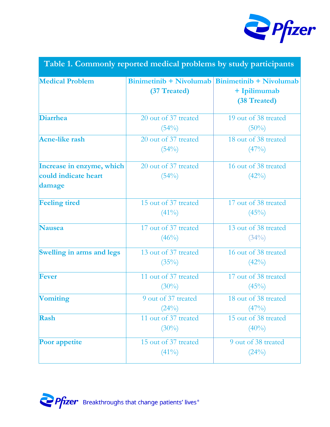

|  | Table 1. Commonly reported medical problems by study participants |  |  |
|--|-------------------------------------------------------------------|--|--|
|  |                                                                   |  |  |
|  |                                                                   |  |  |

| <b>Medical Problem</b>                                      | (37 Treated)                     | $Binimetinib + Nivolumab   Binimetinib + Nivolumab$<br>+ Ipilimumab<br>(38 Treated) |
|-------------------------------------------------------------|----------------------------------|-------------------------------------------------------------------------------------|
| <b>Diarrhea</b>                                             | 20 out of 37 treated<br>(54%)    | 19 out of 38 treated<br>$(50\%)$                                                    |
| <b>Acne-like rash</b>                                       | 20 out of 37 treated<br>$(54\%)$ | 18 out of 38 treated<br>$(47\%)$                                                    |
| Increase in enzyme, which<br>could indicate heart<br>damage | 20 out of 37 treated<br>$(54\%)$ | 16 out of 38 treated<br>$(42\%)$                                                    |
| <b>Feeling tired</b>                                        | 15 out of 37 treated<br>$(41\%)$ | 17 out of 38 treated<br>$(45\%)$                                                    |
| <b>Nausea</b>                                               | 17 out of 37 treated<br>$(46\%)$ | 13 out of 38 treated<br>$(34\%)$                                                    |
| <b>Swelling in arms and legs</b>                            | 13 out of 37 treated<br>$(35\%)$ | 16 out of 38 treated<br>$(42\%)$                                                    |
| <b>Fever</b>                                                | 11 out of 37 treated<br>$(30\%)$ | 17 out of 38 treated<br>$(45\%)$                                                    |
| <b>Vomiting</b>                                             | 9 out of 37 treated<br>(24%)     | 18 out of 38 treated<br>$(47\%)$                                                    |
| Rash                                                        | 11 out of 37 treated<br>$(30\%)$ | 15 out of 38 treated<br>$(40\%)$                                                    |
| Poor appetite                                               | 15 out of 37 treated<br>$(41\%)$ | 9 out of 38 treated<br>(24%)                                                        |

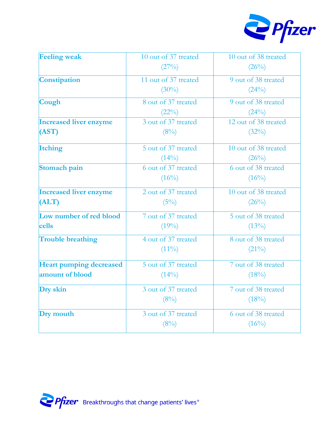

| (27%)<br>(26%)<br>Constipation<br>11 out of 37 treated<br>9 out of 38 treated<br>$(30\%)$<br>(24%)<br>8 out of 37 treated<br>9 out of 38 treated<br>Cough<br>(22%)<br>(24%)<br>3 out of 37 treated<br><b>Increased liver enzyme</b><br>12 out of 38 treated<br>(AST)<br>$(8\%)$<br>$(32\%)$<br>5 out of 37 treated<br><b>Itching</b><br>10 out of 38 treated<br>$(14\%)$<br>$(26\%)$<br>6 out of 37 treated<br>6 out of 38 treated<br>Stomach pain<br>$(16\%)$<br>$(16\%)$<br>10 out of 38 treated<br><b>Increased liver enzyme</b><br>2 out of 37 treated |
|------------------------------------------------------------------------------------------------------------------------------------------------------------------------------------------------------------------------------------------------------------------------------------------------------------------------------------------------------------------------------------------------------------------------------------------------------------------------------------------------------------------------------------------------------------|
|                                                                                                                                                                                                                                                                                                                                                                                                                                                                                                                                                            |
|                                                                                                                                                                                                                                                                                                                                                                                                                                                                                                                                                            |
|                                                                                                                                                                                                                                                                                                                                                                                                                                                                                                                                                            |
|                                                                                                                                                                                                                                                                                                                                                                                                                                                                                                                                                            |
|                                                                                                                                                                                                                                                                                                                                                                                                                                                                                                                                                            |
|                                                                                                                                                                                                                                                                                                                                                                                                                                                                                                                                                            |
|                                                                                                                                                                                                                                                                                                                                                                                                                                                                                                                                                            |
|                                                                                                                                                                                                                                                                                                                                                                                                                                                                                                                                                            |
|                                                                                                                                                                                                                                                                                                                                                                                                                                                                                                                                                            |
|                                                                                                                                                                                                                                                                                                                                                                                                                                                                                                                                                            |
|                                                                                                                                                                                                                                                                                                                                                                                                                                                                                                                                                            |
|                                                                                                                                                                                                                                                                                                                                                                                                                                                                                                                                                            |
| ALT)<br>$(5\%)$<br>(26%)                                                                                                                                                                                                                                                                                                                                                                                                                                                                                                                                   |
| Low number of red blood<br>7 out of 37 treated<br>5 out of 38 treated                                                                                                                                                                                                                                                                                                                                                                                                                                                                                      |
| cells<br>$(19\%)$<br>$(13\%)$                                                                                                                                                                                                                                                                                                                                                                                                                                                                                                                              |
| 4 out of 37 treated<br>8 out of 38 treated<br><b>Trouble breathing</b>                                                                                                                                                                                                                                                                                                                                                                                                                                                                                     |
| $(11\%)$<br>$(21\%)$                                                                                                                                                                                                                                                                                                                                                                                                                                                                                                                                       |
| <b>Heart pumping decreased</b><br>5 out of 37 treated<br>7 out of 38 treated                                                                                                                                                                                                                                                                                                                                                                                                                                                                               |
| amount of blood<br>$(14\%)$<br>$(18\%)$                                                                                                                                                                                                                                                                                                                                                                                                                                                                                                                    |
| 3 out of 37 treated<br>Dry skin<br>7 out of 38 treated                                                                                                                                                                                                                                                                                                                                                                                                                                                                                                     |
| (8%)<br>(18%)                                                                                                                                                                                                                                                                                                                                                                                                                                                                                                                                              |
| 3 out of 37 treated<br>Dry mouth<br>6 out of 38 treated                                                                                                                                                                                                                                                                                                                                                                                                                                                                                                    |
| (8%)<br>$(16\%)$                                                                                                                                                                                                                                                                                                                                                                                                                                                                                                                                           |

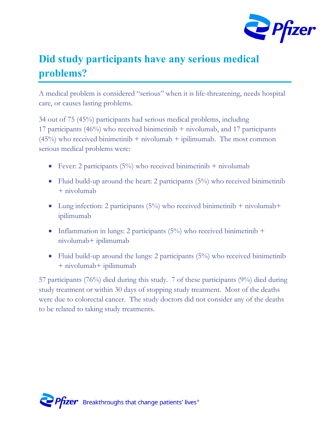

## **Did study participants have any serious medical problems?**

A medical problem is considered "serious" when it is life-threatening, needs hospital care, or causes lasting problems.

34 out of 75 (45%) participants had serious medical problems, including 17 participants (46%) who received binimetinib + nivolumab, and 17 participants  $(45%)$  who received binimetinib + nivolumab + ipilimumab. The most common serious medical problems were:

- Fever: 2 participants  $(5\%)$  who received binimetinib + nivolumab
- Fluid build-up around the heart: 2 participants  $(5\%)$  who received binimetinib + nivolumab
- Lung infection: 2 participants  $(5\%)$  who received binimetinib + nivolumab+ ipilimumab
- Inflammation in lungs: 2 participants  $(5\%)$  who received binimetinib + nivolumab+ ipilimumab
- Fluid build-up around the lungs: 2 participants  $(5\%)$  who received binimetinib + nivolumab+ ipilimumab

57 participants (76%) died during this study. 7 of these participants (9%) died during study treatment or within 30 days of stopping study treatment. Most of the deaths were due to colorectal cancer. The study doctors did not consider any of the deaths to be related to taking study treatments.